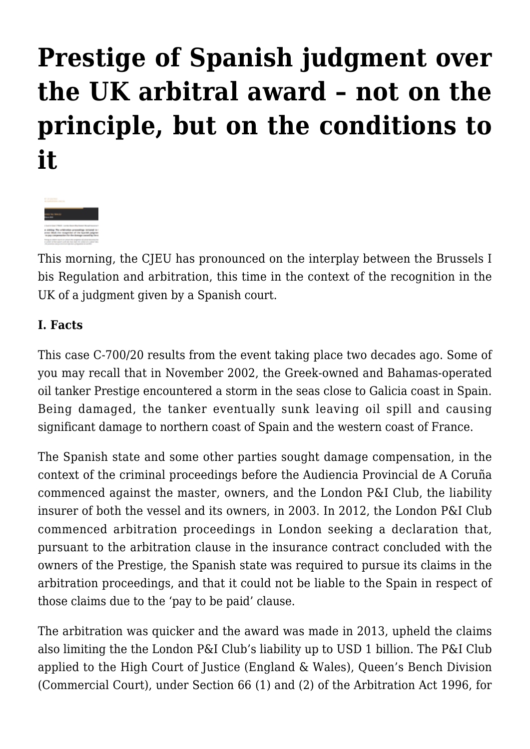## **[Prestige of Spanish judgment over](https://conflictoflaws.net/2022/prestige-of-spanish-judgment-over-the-uk-arbitral-award-not-on-the-principle-but-on-the-conditions-to-it/) [the UK arbitral award – not on the](https://conflictoflaws.net/2022/prestige-of-spanish-judgment-over-the-uk-arbitral-award-not-on-the-principle-but-on-the-conditions-to-it/) [principle, but on the conditions to](https://conflictoflaws.net/2022/prestige-of-spanish-judgment-over-the-uk-arbitral-award-not-on-the-principle-but-on-the-conditions-to-it/) [it](https://conflictoflaws.net/2022/prestige-of-spanish-judgment-over-the-uk-arbitral-award-not-on-the-principle-but-on-the-conditions-to-it/)**



This morning, the CJEU has pronounced on the interplay between the Brussels I bis Regulation and arbitration, this time in the context of the recognition in the UK of a judgment given by a Spanish court.

## **I. Facts**

This case C-700/20 results from the event taking place two decades ago. Some of you may recall that in November 2002, the Greek-owned and Bahamas-operated oil tanker Prestige encountered a storm in the seas close to Galicia coast in Spain. Being damaged, the tanker eventually sunk leaving oil spill and causing significant damage to northern coast of Spain and the western coast of France.

The Spanish state and some other parties sought damage compensation, in the context of the criminal proceedings before the Audiencia Provincial de A Coruña commenced against the master, owners, and the London P&I Club, the liability insurer of both the vessel and its owners, in 2003. In 2012, the London P&I Club commenced arbitration proceedings in London seeking a declaration that, pursuant to the arbitration clause in the insurance contract concluded with the owners of the Prestige, the Spanish state was required to pursue its claims in the arbitration proceedings, and that it could not be liable to the Spain in respect of those claims due to the 'pay to be paid' clause.

The arbitration was quicker and the award was made in 2013, upheld the claims also limiting the the London P&I Club's liability up to USD 1 billion. The P&I Club applied to the High Court of Justice (England & Wales), Queen's Bench Division (Commercial Court), under Section 66 (1) and (2) of the Arbitration Act 1996, for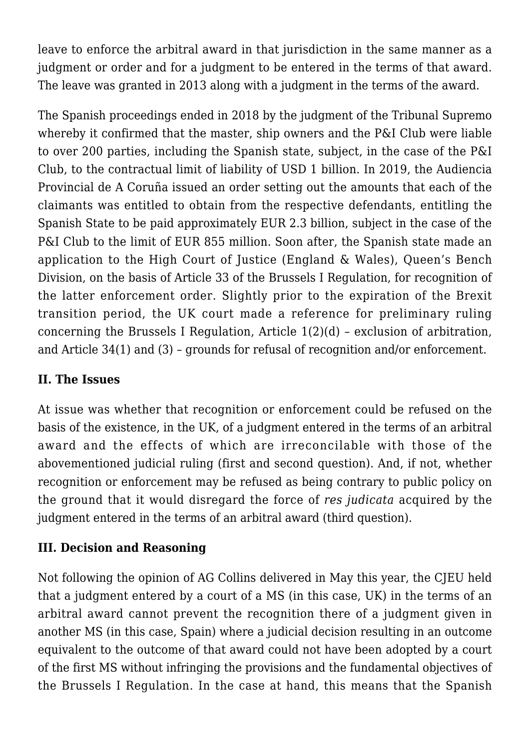leave to enforce the arbitral award in that jurisdiction in the same manner as a judgment or order and for a judgment to be entered in the terms of that award. The leave was granted in 2013 along with a judgment in the terms of the award.

The Spanish proceedings ended in 2018 by the judgment of the Tribunal Supremo whereby it confirmed that the master, ship owners and the P&I Club were liable to over 200 parties, including the Spanish state, subject, in the case of the P&I Club, to the contractual limit of liability of USD 1 billion. In 2019, the Audiencia Provincial de A Coruña issued an order setting out the amounts that each of the claimants was entitled to obtain from the respective defendants, entitling the Spanish State to be paid approximately EUR 2.3 billion, subject in the case of the P&I Club to the limit of EUR 855 million. Soon after, the Spanish state made an application to the High Court of Justice (England & Wales), Queen's Bench Division, on the basis of Article 33 of the Brussels I Regulation, for recognition of the latter enforcement order. Slightly prior to the expiration of the Brexit transition period, the UK court made a reference for preliminary ruling concerning the Brussels I Regulation, Article 1(2)(d) – exclusion of arbitration, and Article 34(1) and (3) – grounds for refusal of recognition and/or enforcement.

## **II. The Issues**

At issue was whether that recognition or enforcement could be refused on the basis of the existence, in the UK, of a judgment entered in the terms of an arbitral award and the effects of which are irreconcilable with those of the abovementioned judicial ruling (first and second question). And, if not, whether recognition or enforcement may be refused as being contrary to public policy on the ground that it would disregard the force of *res judicata* acquired by the judgment entered in the terms of an arbitral award (third question).

## **III. Decision and Reasoning**

Not following the opinion of AG Collins delivered in May this year, the CJEU held that a judgment entered by a court of a MS (in this case, UK) in the terms of an arbitral award cannot prevent the recognition there of a judgment given in another MS (in this case, Spain) where a judicial decision resulting in an outcome equivalent to the outcome of that award could not have been adopted by a court of the first MS without infringing the provisions and the fundamental objectives of the Brussels I Regulation. In the case at hand, this means that the Spanish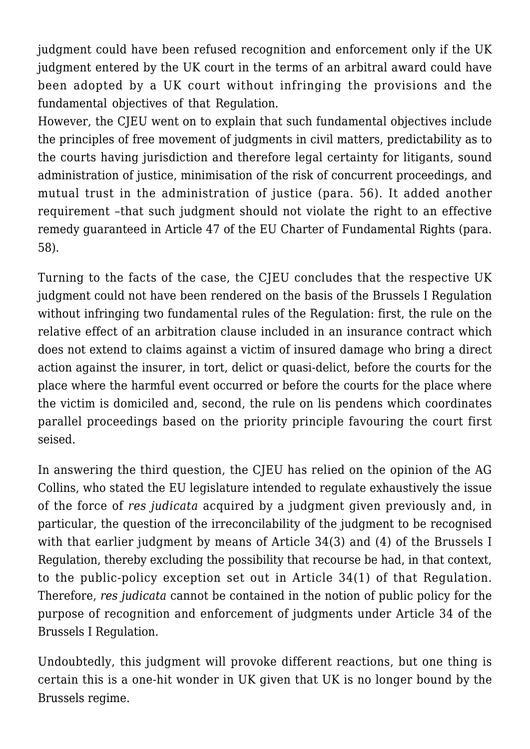judgment could have been refused recognition and enforcement only if the UK judgment entered by the UK court in the terms of an arbitral award could have been adopted by a UK court without infringing the provisions and the fundamental objectives of that Regulation.

However, the CJEU went on to explain that such fundamental objectives include the principles of free movement of judgments in civil matters, predictability as to the courts having jurisdiction and therefore legal certainty for litigants, sound administration of justice, minimisation of the risk of concurrent proceedings, and mutual trust in the administration of justice (para. 56). It added another requirement –that such judgment should not violate the right to an effective remedy guaranteed in Article 47 of the EU Charter of Fundamental Rights (para. 58).

Turning to the facts of the case, the CJEU concludes that the respective UK judgment could not have been rendered on the basis of the Brussels I Regulation without infringing two fundamental rules of the Regulation: first, the rule on the relative effect of an arbitration clause included in an insurance contract which does not extend to claims against a victim of insured damage who bring a direct action against the insurer, in tort, delict or quasi-delict, before the courts for the place where the harmful event occurred or before the courts for the place where the victim is domiciled and, second, the rule on lis pendens which coordinates parallel proceedings based on the priority principle favouring the court first seised.

In answering the third question, the CJEU has relied on the opinion of the AG Collins, who stated the EU legislature intended to regulate exhaustively the issue of the force of *res judicata* acquired by a judgment given previously and, in particular, the question of the irreconcilability of the judgment to be recognised with that earlier judgment by means of Article 34(3) and (4) of the Brussels I Regulation, thereby excluding the possibility that recourse be had, in that context, to the public-policy exception set out in Article 34(1) of that Regulation. Therefore, *res judicata* cannot be contained in the notion of public policy for the purpose of recognition and enforcement of judgments under Article 34 of the Brussels I Regulation.

Undoubtedly, this judgment will provoke different reactions, but one thing is certain this is a one-hit wonder in UK given that UK is no longer bound by the Brussels regime.